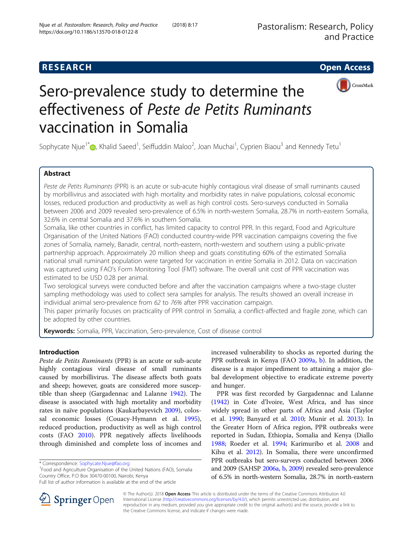



# Sero-prevalence study to determine the effectiveness of Peste de Petits Ruminants vaccination in Somalia

Sophycate Njue<sup>1[\\*](http://orcid.org/0000-0003-3767-9152)</sup>�, Khalid Saeed<sup>1</sup>, Seiffuddin Maloo<sup>2</sup>, Joan Muchai<sup>1</sup>, Cyprien Biaou<sup>3</sup> and Kennedy Tetu<sup>1</sup>

# Abstract

Peste de Petits Ruminants (PPR) is an acute or sub-acute highly contagious viral disease of small ruminants caused by morbillivirus and associated with high mortality and morbidity rates in naïve populations, colossal economic losses, reduced production and productivity as well as high control costs. Sero-surveys conducted in Somalia between 2006 and 2009 revealed sero-prevalence of 6.5% in north-western Somalia, 28.7% in north-eastern Somalia, 32.6% in central Somalia and 37.6% in southern Somalia.

Somalia, like other countries in conflict, has limited capacity to control PPR. In this regard, Food and Agriculture Organisation of the United Nations (FAO) conducted country-wide PPR vaccination campaigns covering the five zones of Somalia, namely, Banadir, central, north-eastern, north-western and southern using a public-private partnership approach. Approximately 20 million sheep and goats constituting 60% of the estimated Somalia national small ruminant population were targeted for vaccination in entire Somalia in 2012. Data on vaccination was captured using FAO's Form Monitoring Tool (FMT) software. The overall unit cost of PPR vaccination was estimated to be USD 0.28 per animal.

Two serological surveys were conducted before and after the vaccination campaigns where a two-stage cluster sampling methodology was used to collect sera samples for analysis. The results showed an overall increase in individual animal sero-prevalence from 62 to 76% after PPR vaccination campaign.

This paper primarily focuses on practicality of PPR control in Somalia, a conflict-affected and fragile zone, which can be adopted by other countries.

Keywords: Somalia, PPR, Vaccination, Sero-prevalence, Cost of disease control

# Introduction

Peste de Petits Ruminants (PPR) is an acute or sub-acute highly contagious viral disease of small ruminants caused by morbillivirus. The disease affects both goats and sheep; however, goats are considered more susceptible than sheep (Gargadennac and Lalanne [1942\)](#page-9-0). The disease is associated with high mortality and morbidity rates in naïve populations (Kaukarbayevich [2009](#page-9-0)), colossal economic losses (Couacy-Hymann et al. [1995](#page-9-0)), reduced production, productivity as well as high control costs (FAO [2010](#page-9-0)). PPR negatively affects livelihoods through diminished and complete loss of incomes and

\* Correspondence: [Sophycate.Njue@fao.org](mailto:Sophycate.Njue@fao.org) <sup>1</sup>

<sup>1</sup>Food and Agriculture Organisation of the United Nations (FAO), Somalia Country Office, P.O Box 30470-00100, Nairobi, Kenya



PPR was first recorded by Gargadennac and Lalanne ([1942\)](#page-9-0) in Cote d'Ivoire, West Africa, and has since widely spread in other parts of Africa and Asia (Taylor et al. [1990;](#page-10-0) Banyard et al. [2010;](#page-9-0) Munir et al. [2013](#page-9-0)). In the Greater Horn of Africa region, PPR outbreaks were reported in Sudan, Ethiopia, Somalia and Kenya (Diallo [1988](#page-9-0); Roeder et al. [1994](#page-9-0); Karimuribo et al. [2008](#page-9-0) and Kihu et al. [2012](#page-9-0)). In Somalia, there were unconfirmed PPR outbreaks but sero-surveys conducted between 2006 and 2009 (SAHSP [2006a](#page-9-0), [b,](#page-9-0) [2009\)](#page-9-0) revealed sero-prevalence of 6.5% in north-western Somalia, 28.7% in north-eastern



© The Author(s). 2018 Open Access This article is distributed under the terms of the Creative Commons Attribution 4.0 International License ([http://creativecommons.org/licenses/by/4.0/\)](http://creativecommons.org/licenses/by/4.0/), which permits unrestricted use, distribution, and reproduction in any medium, provided you give appropriate credit to the original author(s) and the source, provide a link to the Creative Commons license, and indicate if changes were made.

Full list of author information is available at the end of the article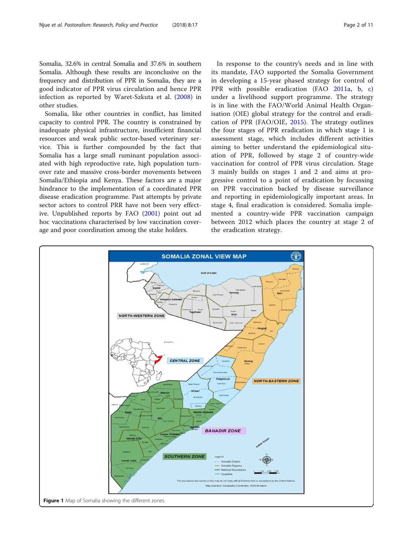<span id="page-1-0"></span>Somalia, 32.6% in central Somalia and 37.6% in southern Somalia. Although these results are inconclusive on the frequency and distribution of PPR in Somalia, they are a good indicator of PPR virus circulation and hence PPR infection as reported by Waret-Szkuta et al. ([2008\)](#page-10-0) in other studies.

Somalia, like other countries in conflict, has limited capacity to control PPR. The country is constrained by inadequate physical infrastructure, insufficient financial resources and weak public sector-based veterinary service. This is further compounded by the fact that Somalia has a large small ruminant population associated with high reproductive rate, high population turnover rate and massive cross-border movements between Somalia/Ethiopia and Kenya. These factors are a major hindrance to the implementation of a coordinated PPR disease eradication programme. Past attempts by private sector actors to control PRR have not been very effective. Unpublished reports by FAO [\(2001\)](#page-9-0) point out ad hoc vaccinations characterised by low vaccination coverage and poor coordination among the stake holders.

In response to the country's needs and in line with its mandate, FAO supported the Somalia Government in developing a 15-year phased strategy for control of PPR with possible eradication (FAO [2011a,](#page-9-0) [b](#page-9-0), [c\)](#page-9-0) under a livelihood support programme. The strategy is in line with the FAO/World Animal Health Organisation (OIE) global strategy for the control and eradication of PPR (FAO/OIE, [2015\)](#page-9-0). The strategy outlines the four stages of PPR eradication in which stage 1 is assessment stage, which includes different activities aiming to better understand the epidemiological situation of PPR, followed by stage 2 of country-wide vaccination for control of PPR virus circulation. Stage 3 mainly builds on stages 1 and 2 and aims at progressive control to a point of eradication by focussing on PPR vaccination backed by disease surveillance and reporting in epidemiologically important areas. In stage 4, final eradication is considered. Somalia implemented a country-wide PPR vaccination campaign between 2012 which places the country at stage 2 of the eradication strategy.

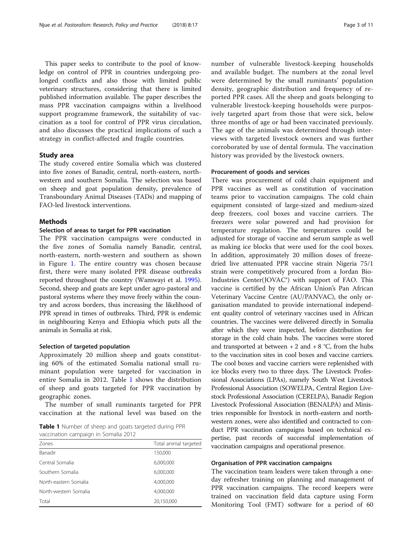This paper seeks to contribute to the pool of knowledge on control of PPR in countries undergoing prolonged conflicts and also those with limited public veterinary structures, considering that there is limited published information available. The paper describes the mass PPR vaccination campaigns within a livelihood support programme framework, the suitability of vaccination as a tool for control of PPR virus circulation, and also discusses the practical implications of such a strategy in conflict-affected and fragile countries.

# Study area

The study covered entire Somalia which was clustered into five zones of Banadir, central, north-eastern, northwestern and southern Somalia. The selection was based on sheep and goat population density, prevalence of Transboundary Animal Diseases (TADs) and mapping of FAO-led livestock interventions.

# **Methods**

# Selection of areas to target for PPR vaccination

The PPR vaccination campaigns were conducted in the five zones of Somalia namely Banadir, central, north-eastern, north-western and southern as shown in Figure [1.](#page-1-0) The entire country was chosen because first, there were many isolated PPR disease outbreaks reported throughout the country (Wamwayi et al. [1995](#page-10-0)). Second, sheep and goats are kept under agro-pastoral and pastoral systems where they move freely within the country and across borders, thus increasing the likelihood of PPR spread in times of outbreaks. Third, PPR is endemic in neighbouring Kenya and Ethiopia which puts all the animals in Somalia at risk.

## Selection of targeted population

Approximately 20 million sheep and goats constituting 60% of the estimated Somalia national small ruminant population were targeted for vaccination in entire Somalia in 2012. Table 1 shows the distribution of sheep and goats targeted for PPR vaccination by geographic zones.

The number of small ruminants targeted for PPR vaccination at the national level was based on the

Table 1 Number of sheep and goats targeted during PPR vaccination campaign in Somalia 2012

| Zones                 | Total animal targeted |  |  |
|-----------------------|-----------------------|--|--|
| Banadir               | 150,000               |  |  |
| Central Somalia       | 6,000,000             |  |  |
| Southern Somalia      | 6,000,000             |  |  |
| North-eastern Somalia | 4,000,000             |  |  |
| North-western Somalia | 4,000,000             |  |  |
| Total                 | 20,150,000            |  |  |

number of vulnerable livestock-keeping households and available budget. The numbers at the zonal level were determined by the small ruminants' population density, geographic distribution and frequency of reported PPR cases. All the sheep and goats belonging to vulnerable livestock-keeping households were purposively targeted apart from those that were sick, below three months of age or had been vaccinated previously. The age of the animals was determined through interviews with targeted livestock owners and was further corroborated by use of dental formula. The vaccination history was provided by the livestock owners.

# Procurement of goods and services

There was procurement of cold chain equipment and PPR vaccines as well as constitution of vaccination teams prior to vaccination campaigns. The cold chain equipment consisted of large-sized and medium-sized deep freezers, cool boxes and vaccine carriers. The freezers were solar powered and had provision for temperature regulation. The temperatures could be adjusted for storage of vaccine and serum sample as well as making ice blocks that were used for the cool boxes. In addition, approximately 20 million doses of freezedried live attenuated PPR vaccine strain Nigeria 75/1 strain were competitively procured from a Jordan Bio-Industries Center(JOVAC®) with support of FAO. This vaccine is certified by the African Union's Pan African Veterinary Vaccine Centre (AU/PANVAC), the only organisation mandated to provide international independent quality control of veterinary vaccines used in African countries. The vaccines were delivered directly in Somalia after which they were inspected, before distribution for storage in the cold chain hubs. The vaccines were stored and transported at between  $+ 2$  and  $+ 8$  °C, from the hubs to the vaccination sites in cool boxes and vaccine carriers. The cool boxes and vaccine carriers were replenished with ice blocks every two to three days. The Livestock Professional Associations (LPAs), namely South West Livestock Professional Association (SOWELPA, Central Region Livestock Professional Association (CERELPA), Banadir Region Livestock Professional Association (BENALPA) and Ministries responsible for livestock in north-eastern and northwestern zones, were also identified and contracted to conduct PPR vaccination campaigns based on technical expertise, past records of successful implementation of vaccination campaigns and operational presence.

## Organisation of PPR vaccination campaigns

The vaccination team leaders were taken through a oneday refresher training on planning and management of PPR vaccination campaigns. The record keepers were trained on vaccination field data capture using Form Monitoring Tool (FMT) software for a period of 60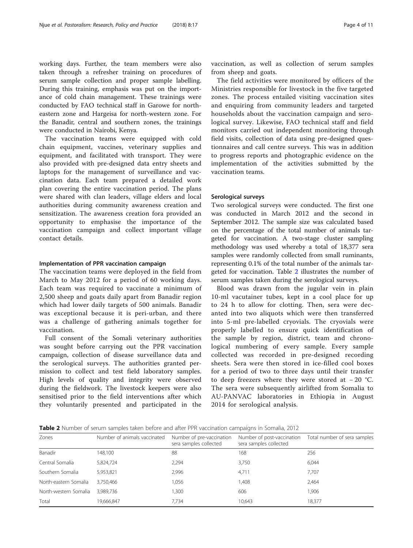working days. Further, the team members were also taken through a refresher training on procedures of serum sample collection and proper sample labelling. During this training, emphasis was put on the importance of cold chain management. These trainings were conducted by FAO technical staff in Garowe for northeastern zone and Hargeisa for north-western zone. For the Banadir, central and southern zones, the trainings were conducted in Nairobi, Kenya.

The vaccination teams were equipped with cold chain equipment, vaccines, veterinary supplies and equipment, and facilitated with transport. They were also provided with pre-designed data entry sheets and laptops for the management of surveillance and vaccination data. Each team prepared a detailed work plan covering the entire vaccination period. The plans were shared with clan leaders, village elders and local authorities during community awareness creation and sensitization. The awareness creation fora provided an opportunity to emphasise the importance of the vaccination campaign and collect important village contact details.

# Implementation of PPR vaccination campaign

The vaccination teams were deployed in the field from March to May 2012 for a period of 60 working days. Each team was required to vaccinate a minimum of 2,500 sheep and goats daily apart from Banadir region which had lower daily targets of 500 animals. Banadir was exceptional because it is peri-urban, and there was a challenge of gathering animals together for vaccination.

Full consent of the Somali veterinary authorities was sought before carrying out the PPR vaccination campaign, collection of disease surveillance data and the serological surveys. The authorities granted permission to collect and test field laboratory samples. High levels of quality and integrity were observed during the fieldwork. The livestock keepers were also sensitised prior to the field interventions after which they voluntarily presented and participated in the vaccination, as well as collection of serum samples from sheep and goats.

The field activities were monitored by officers of the Ministries responsible for livestock in the five targeted zones. The process entailed visiting vaccination sites and enquiring from community leaders and targeted households about the vaccination campaign and serological survey. Likewise, FAO technical staff and field monitors carried out independent monitoring through field visits, collection of data using pre-designed questionnaires and call centre surveys. This was in addition to progress reports and photographic evidence on the implementation of the activities submitted by the vaccination teams.

# Serological surveys

Two serological surveys were conducted. The first one was conducted in March 2012 and the second in September 2012. The sample size was calculated based on the percentage of the total number of animals targeted for vaccination. A two-stage cluster sampling methodology was used whereby a total of 18,377 sera samples were randomly collected from small ruminants, representing 0.1% of the total number of the animals targeted for vaccination. Table 2 illustrates the number of serum samples taken during the serological surveys.

Blood was drawn from the jugular vein in plain 10-ml vacutainer tubes, kept in a cool place for up to 24 h to allow for clotting. Then, sera were decanted into two aliquots which were then transferred into 5-ml pre-labelled cryovials. The cryovials were properly labelled to ensure quick identification of the sample by region, district, team and chronological numbering of every sample. Every sample collected was recorded in pre-designed recording sheets. Sera were then stored in ice-filled cool boxes for a period of two to three days until their transfer to deep freezers where they were stored at − 20 °C. The sera were subsequently airlifted from Somalia to AU-PANVAC laboratories in Ethiopia in August 2014 for serological analysis.

Table 2 Number of serum samples taken before and after PPR vaccination campaigns in Somalia, 2012

| Zones                 | Number of animals vaccinated | Number of pre-vaccination<br>sera samples collected | Number of post-vaccination<br>sera samples collected | Total number of sera samples |
|-----------------------|------------------------------|-----------------------------------------------------|------------------------------------------------------|------------------------------|
| Banadir               | 148,100                      | 88                                                  | 168                                                  | 256                          |
| Central Somalia       | 5,824,724                    | 2,294                                               | 3,750                                                | 6,044                        |
| Southern Somalia      | 5,953,821                    | 2,996                                               | 4,711                                                | 7,707                        |
| North-eastern Somalia | 3,750,466                    | 1,056                                               | 1,408                                                | 2,464                        |
| North-western Somalia | 3.989.736                    | 1,300                                               | 606                                                  | 1,906                        |
| Total                 | 19,666,847                   | 7.734                                               | 10,643                                               | 18,377                       |
|                       |                              |                                                     |                                                      |                              |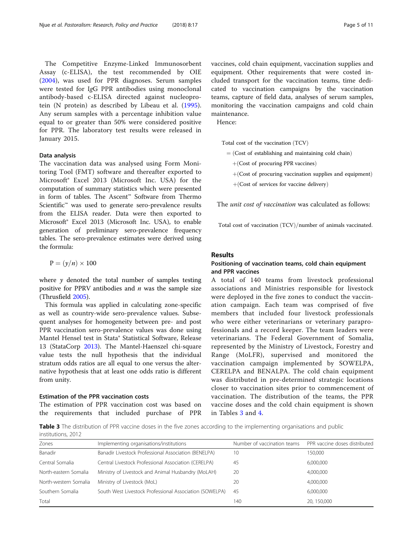The Competitive Enzyme-Linked Immunosorbent Assay (c-ELISA), the test recommended by OIE ([2004\)](#page-9-0), was used for PPR diagnoses. Serum samples were tested for IgG PPR antibodies using monoclonal antibody-based c-ELISA directed against nucleoprotein (N protein) as described by Libeau et al. ([1995](#page-9-0)). Any serum samples with a percentage inhibition value equal to or greater than 50% were considered positive for PPR. The laboratory test results were released in January 2015.

# Data analysis

The vaccination data was analysed using Form Monitoring Tool (FMT) software and thereafter exported to Microsoft® Excel 2013 (Microsoft Inc. USA) for the computation of summary statistics which were presented in form of tables. The Ascent™ Software from Thermo Scientific<sup>™</sup> was used to generate sero-prevalence results from the ELISA reader. Data were then exported to Microsoft® Excel 2013 (Microsoft Inc. USA), to enable generation of preliminary sero-prevalence frequency tables. The sero-prevalence estimates were derived using the formula:

$$
P=(y/n)\times 100
$$

where  $y$  denoted the total number of samples testing positive for PPRV antibodies and  $n$  was the sample size (Thrusfield [2005\)](#page-10-0).

This formula was applied in calculating zone-specific as well as country-wide sero-prevalence values. Subsequent analyses for homogeneity between pre- and post PPR vaccination sero-prevalence values was done using Mantel Hensel test in Stata® Statistical Software, Release 13 (StataCorp [2013\)](#page-10-0). The Mantel-Haenszel chi-square value tests the null hypothesis that the individual stratum odds ratios are all equal to one versus the alternative hypothesis that at least one odds ratio is different from unity.

# Estimation of the PPR vaccination costs

The estimation of PPR vaccination cost was based on the requirements that included purchase of PPR vaccines, cold chain equipment, vaccination supplies and equipment. Other requirements that were costed included transport for the vaccination teams, time dedicated to vaccination campaigns by the vaccination teams, capture of field data, analyses of serum samples, monitoring the vaccination campaigns and cold chain maintenance.

Hence:

Total cost of the vaccination (TCV)

- $=$  (Cost of establishing and maintaining cold chain)
- $+(Cost of procurring PPR vaccines)$
- $+(Cost of programming vaccination supplies and equipment)$
- $+(Cost of services for vaccine delivery)$

The *unit cost of vaccination* was calculated as follows:

Total cost of vaccination (TCV)/number of animals vaccinated.

# Results

# Positioning of vaccination teams, cold chain equipment and PPR vaccines

A total of 140 teams from livestock professional associations and Ministries responsible for livestock were deployed in the five zones to conduct the vaccination campaign. Each team was comprised of five members that included four livestock professionals who were either veterinarians or veterinary paraprofessionals and a record keeper. The team leaders were veterinarians. The Federal Government of Somalia, represented by the Ministry of Livestock, Forestry and Range (MoLFR), supervised and monitored the vaccination campaign implemented by SOWELPA, CERELPA and BENALPA. The cold chain equipment was distributed in pre-determined strategic locations closer to vaccination sites prior to commencement of vaccination. The distribution of the teams, the PPR vaccine doses and the cold chain equipment is shown in Tables 3 and [4.](#page-5-0)

Table 3 The distribution of PPR vaccine doses in the five zones according to the implementing organisations and public institutions, 2012

| Zones                 | Implementing organisations/institutions                 | Number of vaccination teams | PPR vaccine doses distributed |
|-----------------------|---------------------------------------------------------|-----------------------------|-------------------------------|
| Banadir               | Banadir Livestock Professional Association (BENELPA)    | 10                          | 150,000                       |
| Central Somalia       | Central Livestock Professional Association (CERELPA)    | 45                          | 6,000,000                     |
| North-eastern Somalia | Ministry of Livestock and Animal Husbandry (MoLAH)      | 20                          | 4,000,000                     |
| North-western Somalia | Ministry of Livestock (MoL)                             | 20                          | 4,000,000                     |
| Southern Somalia      | South West Livestock Professional Association (SOWELPA) | 45                          | 6,000,000                     |
| Total                 |                                                         | 140                         | 20, 150,000                   |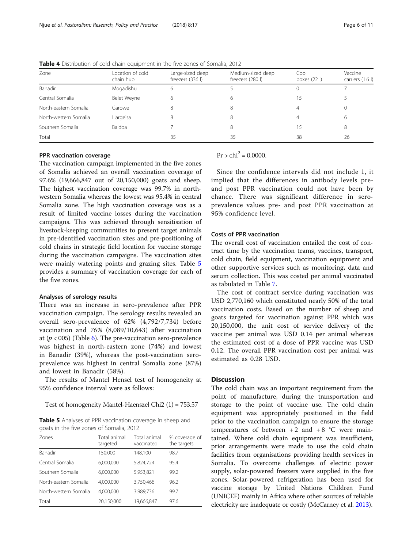| Zone                  | Location of cold<br>chain hub | Large-sized deep<br>freezers (336 l) | Medium-sized deep<br>freezers (280 l) | Cool<br>boxes $(22 \, \text{I})$ | Vaccine<br>carriers (1.6 l) |
|-----------------------|-------------------------------|--------------------------------------|---------------------------------------|----------------------------------|-----------------------------|
| Banadir               | Mogadishu                     | 6                                    |                                       |                                  |                             |
| Central Somalia       | Belet Weyne                   | 6                                    |                                       | 15                               |                             |
| North-eastern Somalia | Garowe                        | 8                                    |                                       |                                  |                             |
| North-western Somalia | Hargeisa                      | 8                                    |                                       |                                  | h                           |
| Southern Somalia      | Baidoa                        |                                      |                                       | 15                               | 8                           |
| Total                 |                               | 35                                   | 35                                    | 38                               | 26                          |

<span id="page-5-0"></span>Table 4 Distribution of cold chain equipment in the five zones of Somalia, 2012

# PPR vaccination coverage

The vaccination campaign implemented in the five zones of Somalia achieved an overall vaccination coverage of 97.6% (19,666,847 out of 20,150,000) goats and sheep. The highest vaccination coverage was 99.7% in northwestern Somalia whereas the lowest was 95.4% in central Somalia zone. The high vaccination coverage was as a result of limited vaccine losses during the vaccination campaigns. This was achieved through sensitisation of livestock-keeping communities to present target animals in pre-identified vaccination sites and pre-positioning of cold chains in strategic field location for vaccine storage during the vaccination campaigns. The vaccination sites were mainly watering points and grazing sites. Table 5 provides a summary of vaccination coverage for each of the five zones.

#### Analyses of serology results

There was an increase in sero-prevalence after PPR vaccination campaign. The serology results revealed an overall sero-prevalence of 62% (4,792/7,734) before vaccination and 76% (8,089/10,643) after vaccination at ( $p < 005$ ) (Table [6\)](#page-6-0). The pre-vaccination sero-prevalence was highest in north-eastern zone (74%) and lowest in Banadir (39%), whereas the post-vaccination seroprevalence was highest in central Somalia zone (87%) and lowest in Banadir (58%).

The results of Mantel Hensel test of homogeneity at 95% confidence interval were as follows:

Test of homogeneity Mantel-Haenszel Chi2 (1) = 753.57

Table 5 Analyses of PPR vaccination coverage in sheep and goats in the five zones of Somalia, 2012

| Zones                 | Total animal<br>targeted | Total animal<br>vaccinated | % coverage of<br>the targets |
|-----------------------|--------------------------|----------------------------|------------------------------|
| Banadir               | 150,000                  | 148,100                    | 98.7                         |
| Central Somalia       | 6,000,000                | 5,824,724                  | 95.4                         |
| Southern Somalia      | 6,000,000                | 5,953,821                  | 99.2                         |
| North-eastern Somalia | 4,000,000                | 3,750,466                  | 96.2                         |
| North-western Somalia | 4.000.000                | 3,989,736                  | 99.7                         |
| Total                 | 20,150,000               | 19,666,847                 | 97.6                         |

 $Pr > chi^2 = 0.0000$ 

Since the confidence intervals did not include 1, it implied that the differences in antibody levels preand post PPR vaccination could not have been by chance. There was significant difference in seroprevalence values pre- and post PPR vaccination at 95% confidence level.

# Costs of PPR vaccination

The overall cost of vaccination entailed the cost of contract time by the vaccination teams, vaccines, transport, cold chain, field equipment, vaccination equipment and other supportive services such as monitoring, data and serum collection. This was costed per animal vaccinated as tabulated in Table [7](#page-6-0).

The cost of contract service during vaccination was USD 2,770,160 which constituted nearly 50% of the total vaccination costs. Based on the number of sheep and goats targeted for vaccination against PPR which was 20,150,000, the unit cost of service delivery of the vaccine per animal was USD 0.14 per animal whereas the estimated cost of a dose of PPR vaccine was USD 0.12. The overall PPR vaccination cost per animal was estimated as 0.28 USD.

# **Discussion**

The cold chain was an important requirement from the point of manufacture, during the transportation and storage to the point of vaccine use. The cold chain equipment was appropriately positioned in the field prior to the vaccination campaign to ensure the storage temperatures of between  $+2$  and  $+8$  °C were maintained. Where cold chain equipment was insufficient, prior arrangements were made to use the cold chain facilities from organisations providing health services in Somalia. To overcome challenges of electric power supply, solar-powered freezers were supplied in the five zones. Solar-powered refrigeration has been used for vaccine storage by United Nations Children Fund (UNICEF) mainly in Africa where other sources of reliable electricity are inadequate or costly (McCarney et al. [2013](#page-9-0)).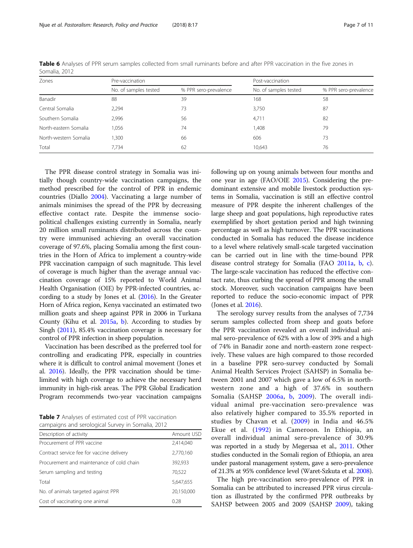| Zones                 | Pre-vaccination       |                       | Post-vaccination      |                       |
|-----------------------|-----------------------|-----------------------|-----------------------|-----------------------|
|                       | No. of samples tested | % PPR sero-prevalence | No. of samples tested | % PPR sero-prevalence |
| Banadir               | 88                    | 39                    | 168                   | 58                    |
| Central Somalia       | 2.294                 | 73                    | 3.750                 | 87                    |
| Southern Somalia      | 2,996                 | 56                    | 4,711                 | 82                    |
| North-eastern Somalia | .056                  | 74                    | ,408                  | 79                    |
| North-western Somalia | .300                  | 66                    | 606                   | 73                    |
| Total                 | 7.734                 | 62                    | 10.643                | 76                    |

<span id="page-6-0"></span>Table 6 Analyses of PPR serum samples collected from small ruminants before and after PPR vaccination in the five zones in Somalia, 2012

The PPR disease control strategy in Somalia was initially though country-wide vaccination campaigns, the method prescribed for the control of PPR in endemic countries (Diallo [2004\)](#page-9-0). Vaccinating a large number of animals minimises the spread of the PPR by decreasing effective contact rate. Despite the immense sociopolitical challenges existing currently in Somalia, nearly 20 million small ruminants distributed across the country were immunised achieving an overall vaccination coverage of 97.6%, placing Somalia among the first countries in the Horn of Africa to implement a country-wide PPR vaccination campaign of such magnitude. This level of coverage is much higher than the average annual vaccination coverage of 15% reported to World Animal Health Organisation (OIE) by PPR-infected countries, according to a study by Jones et al. ([2016\)](#page-9-0). In the Greater Horn of Africa region, Kenya vaccinated an estimated two million goats and sheep against PPR in 2006 in Turkana County (Kihu et al. [2015a,](#page-9-0) [b\)](#page-9-0). According to studies by Singh ([2011](#page-9-0)), 85.4% vaccination coverage is necessary for control of PPR infection in sheep population.

Vaccination has been described as the preferred tool for controlling and eradicating PPR, especially in countries where it is difficult to control animal movement (Jones et al. [2016\)](#page-9-0). Ideally, the PPR vaccination should be timelimited with high coverage to achieve the necessary herd immunity in high-risk areas. The PPR Global Eradication Program recommends two-year vaccination campaigns

Table 7 Analyses of estimated cost of PPR vaccination campaigns and serological Survey in Somalia, 2012

| Description of activity                   | Amount USD |
|-------------------------------------------|------------|
| Procurement of PPR vaccine                | 2,414,040  |
| Contract service fee for vaccine delivery | 2,770,160  |
| Procurement and maintenance of cold chain | 392,933    |
| Serum sampling and testing                | 70,522     |
| Total                                     | 5,647,655  |
| No. of animals targeted against PPR       | 20,150,000 |
| Cost of vaccinating one animal            | 0.28       |

following up on young animals between four months and one year in age (FAO/OIE [2015\)](#page-9-0). Considering the predominant extensive and mobile livestock production systems in Somalia, vaccination is still an effective control measure of PPR despite the inherent challenges of the large sheep and goat populations, high reproductive rates exemplified by short gestation period and high twinning percentage as well as high turnover. The PPR vaccinations conducted in Somalia has reduced the disease incidence to a level where relatively small-scale targeted vaccination can be carried out in line with the time-bound PPR disease control strategy for Somalia (FAO [2011a](#page-9-0), [b](#page-9-0), [c](#page-9-0)). The large-scale vaccination has reduced the effective contact rate, thus curbing the spread of PPR among the small stock. Moreover, such vaccination campaigns have been reported to reduce the socio-economic impact of PPR (Jones et al. [2016](#page-9-0)).

The serology survey results from the analyses of 7,734 serum samples collected from sheep and goats before the PPR vaccination revealed an overall individual animal sero-prevalence of 62% with a low of 39% and a high of 74% in Banadir zone and north-eastern zone respectively. These values are high compared to those recorded in a baseline PPR sero-survey conducted by Somali Animal Health Services Project (SAHSP) in Somalia between 2001 and 2007 which gave a low of 6.5% in northwestern zone and a high of 37.6% in southern Somalia (SAHSP [2006a](#page-9-0), [b](#page-9-0), [2009\)](#page-9-0). The overall individual animal pre-vaccination sero-prevalence was also relatively higher compared to 35.5% reported in studies by Chavan et al. [\(2009\)](#page-9-0) in India and 46.5% Ekue et al. ([1992](#page-9-0)) in Cameroon. In Ethiopia, an overall individual animal sero-prevalence of 30.9% was reported in a study by Megersaa et al., [2011.](#page-9-0) Other studies conducted in the Somali region of Ethiopia, an area under pastoral management system, gave a sero-prevalence of 21.3% at 95% confidence level (Waret-Szkuta et al. [2008](#page-10-0)).

The high pre-vaccination sero-prevalence of PPR in Somalia can be attributed to increased PPR virus circulation as illustrated by the confirmed PPR outbreaks by SAHSP between 2005 and 2009 (SAHSP [2009](#page-9-0)), taking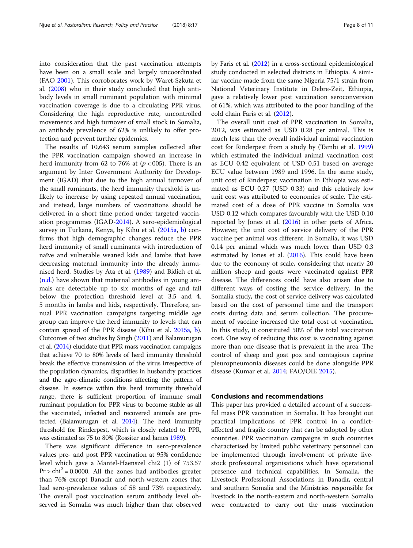into consideration that the past vaccination attempts have been on a small scale and largely uncoordinated (FAO [2001](#page-9-0)). This corroborates work by Waret-Szkuta et al. [\(2008\)](#page-10-0) who in their study concluded that high antibody levels in small ruminant population with minimal vaccination coverage is due to a circulating PPR virus. Considering the high reproductive rate, uncontrolled movements and high turnover of small stock in Somalia, an antibody prevalence of 62% is unlikely to offer protection and prevent further epidemics.

The results of 10,643 serum samples collected after the PPR vaccination campaign showed an increase in herd immunity from 62 to 76% at  $(p < 005)$ . There is an argument by Inter Government Authority for Development (IGAD) that due to the high annual turnover of the small ruminants, the herd immunity threshold is unlikely to increase by using repeated annual vaccination, and instead, large numbers of vaccinations should be delivered in a short time period under targeted vaccination programmes (IGAD[-2014\)](#page-9-0). A sero-epidemiological survey in Turkana, Kenya, by Kihu et al. ([2015a](#page-9-0), [b\)](#page-9-0) confirms that high demographic changes reduce the PPR herd immunity of small ruminants with introduction of naïve and vulnerable weaned kids and lambs that have decreasing maternal immunity into the already immunised herd. Studies by Ata et al. [\(1989](#page-9-0)) and Bidjeh et al. ([n.d.\)](#page-9-0) have shown that maternal antibodies in young animals are detectable up to six months of age and fall below the protection threshold level at 3.5 and 4. 5 months in lambs and kids, respectively. Therefore, annual PPR vaccination campaigns targeting middle age group can improve the herd immunity to levels that can contain spread of the PPR disease (Kihu et al. [2015a](#page-9-0), [b](#page-9-0)). Outcomes of two studies by Singh [\(2011](#page-9-0)) and Balamurugan et al. ([2014\)](#page-9-0) elucidate that PPR mass vaccination campaigns that achieve 70 to 80% levels of herd immunity threshold break the effective transmission of the virus irrespective of the population dynamics, disparities in husbandry practices and the agro-climatic conditions affecting the pattern of disease. In essence within this herd immunity threshold range, there is sufficient proportion of immune small ruminant population for PPR virus to become stable as all the vaccinated, infected and recovered animals are protected (Balamurugan et al. [2014](#page-9-0)). The herd immunity threshold for Rinderpest, which is closely related to PPR, was estimated as 75 to 80% (Rossiter and James [1989](#page-9-0)).

There was significant difference in sero-prevalence values pre- and post PPR vaccination at 95% confidence level which gave a Mantel-Haenszel chi2 (1) of 753.57  $Pr > chi^2 = 0.0000$ . All the zones had antibodies greater than 76% except Banadir and north-western zones that had sero-prevalence values of 58 and 73% respectively. The overall post vaccination serum antibody level observed in Somalia was much higher than that observed by Faris et al. [\(2012\)](#page-9-0) in a cross-sectional epidemiological study conducted in selected districts in Ethiopia. A similar vaccine made from the same Nigeria 75/1 strain from National Veterinary Institute in Debre-Zeit, Ethiopia, gave a relatively lower post vaccination seroconversion of 61%, which was attributed to the poor handling of the cold chain Faris et al. ([2012\)](#page-9-0).

The overall unit cost of PPR vaccination in Somalia, 2012, was estimated as USD 0.28 per animal. This is much less than the overall individual animal vaccination cost for Rinderpest from a study by (Tambi et al. [1999](#page-10-0)) which estimated the individual animal vaccination cost as ECU 0.42 equivalent of USD 0.51 based on average ECU value between 1989 and 1996. In the same study, unit cost of Rinderpest vaccination in Ethiopia was estimated as ECU 0.27 (USD 0.33) and this relatively low unit cost was attributed to economies of scale. The estimated cost of a dose of PPR vaccine in Somalia was USD 0.12 which compares favourably with the USD 0.10 reported by Jones et al. ([2016](#page-9-0)) in other parts of Africa. However, the unit cost of service delivery of the PPR vaccine per animal was different. In Somalia, it was USD 0.14 per animal which was much lower than USD 0.3 estimated by Jones et al. [\(2016\)](#page-9-0). This could have been due to the economy of scale, considering that nearly 20 million sheep and goats were vaccinated against PPR disease. The differences could have also arisen due to different ways of costing the service delivery. In the Somalia study, the cost of service delivery was calculated based on the cost of personnel time and the transport costs during data and serum collection. The procurement of vaccine increased the total cost of vaccination. In this study, it constituted 50% of the total vaccination cost. One way of reducing this cost is vaccinating against more than one disease that is prevalent in the area. The control of sheep and goat pox and contagious caprine pleuropneumonia diseases could be done alongside PPR disease (Kumar et al. [2014;](#page-9-0) FAO/OIE [2015\)](#page-9-0).

# Conclusions and recommendations

This paper has provided a detailed account of a successful mass PPR vaccination in Somalia. It has brought out practical implications of PPR control in a conflictaffected and fragile country that can be adopted by other countries. PPR vaccination campaigns in such countries characterised by limited public veterinary personnel can be implemented through involvement of private livestock professional organisations which have operational presence and technical capabilities. In Somalia, the Livestock Professional Associations in Banadir, central and southern Somalia and the Ministries responsible for livestock in the north-eastern and north-western Somalia were contracted to carry out the mass vaccination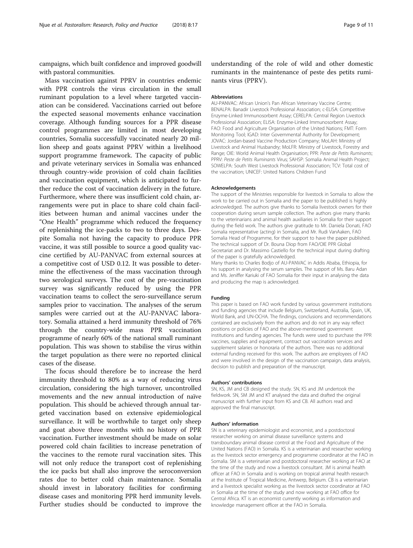campaigns, which built confidence and improved goodwill with pastoral communities.

Mass vaccination against PPRV in countries endemic with PPR controls the virus circulation in the small ruminant population to a level where targeted vaccination can be considered. Vaccinations carried out before the expected seasonal movements enhance vaccination coverage. Although funding sources for a PPR disease control programmes are limited in most developing countries, Somalia successfully vaccinated nearly 20 million sheep and goats against PPRV within a livelihood support programme framework. The capacity of public and private veterinary services in Somalia was enhanced through country-wide provision of cold chain facilities and vaccination equipment, which is anticipated to further reduce the cost of vaccination delivery in the future. Furthermore, where there was insufficient cold chain, arrangements were put in place to share cold chain facilities between human and animal vaccines under the "One Health" programme which reduced the frequency of replenishing the ice-packs to two to three days. Despite Somalia not having the capacity to produce PPR vaccine, it was still possible to source a good quality vaccine certified by AU-PANVAC from external sources at a competitive cost of USD 0.12. It was possible to determine the effectiveness of the mass vaccination through two serological surveys. The cost of the pre-vaccination survey was significantly reduced by using the PPR vaccination teams to collect the sero-surveillance serum samples prior to vaccination. The analyses of the serum samples were carried out at the AU-PANVAC laboratory. Somalia attained a herd immunity threshold of 76% through the country-wide mass PPR vaccination programme of nearly 60% of the national small ruminant population. This was shown to stabilise the virus within the target population as there were no reported clinical cases of the disease.

The focus should therefore be to increase the herd immunity threshold to 80% as a way of reducing virus circulation, considering the high turnover, uncontrolled movements and the new annual introduction of naïve population. This should be achieved through annual targeted vaccination based on extensive epidemiological surveillance. It will be worthwhile to target only sheep and goat above three months with no history of PPR vaccination. Further investment should be made on solar powered cold chain facilities to increase penetration of the vaccines to the remote rural vaccination sites. This will not only reduce the transport cost of replenishing the ice packs but shall also improve the seroconversion rates due to better cold chain maintenance. Somalia should invest in laboratory facilities for confirming disease cases and monitoring PPR herd immunity levels. Further studies should be conducted to improve the

understanding of the role of wild and other domestic ruminants in the maintenance of peste des petits ruminants virus (PPRV).

#### Abbreviations

AU-PANVAC: African Union's Pan African Veterinary Vaccine Centre; BENALPA: Banadir Livestock Professional Association; c-ELISA: Competitive Enzyme-Linked Immunosorbent Assay; CERELPA: Central Region Livestock Professional Association; ELISA: Enzyme-Linked Immunosorbent Assay; FAO: Food and Agriculture Organisation of the United Nations; FMT: Form Monitoring Tool; IGAD: Inter Governmental Authority for Development; JOVAC: Jordan-based Vaccine Production Company; MoLAH: Ministry of Livestock and Animal Husbandry; MoLFR: Ministry of Livestock, Forestry and Range; OIE: World Animal Health Organisation; PPR: Peste de Petits Ruminants; PPRV: Peste de Petits Ruminants Virus; SAHSP: Somalia Animal Health Project; SOWELPA: South West Livestock Professional Association; TCV: Total cost of the vaccination; UNICEF: United Nations Children Fund

#### Acknowledgements

The support of the Ministries responsible for livestock in Somalia to allow the work to be carried out in Somalia and the paper to be published is highly acknowledged. The authors give thanks to Somalia livestock owners for their cooperation during serum sample collection. The authors give many thanks to the veterinarians and animal health auxiliaries in Somalia for their support during the field work. The authors give gratitude to Mr. Daniela Donati, FAO Somalia representative (acting) in Somalia, and Mr. Rudi VanAaken, FAO Somalia Head of Programme, for their support to have the paper published. The technical support of Dr. Bouna Diop from FAO/OIE PPR Global Secretariat and Dr. Massimo Castiello for the technical input during drafting of the paper is gratefully acknowledged. Many thanks to Charles Bodjo of AU-PANVAC in Addis Ababa, Ethiopia, for

his support in analysing the serum samples. The support of Ms. Baru Adan and Ms. Jeniffer Kariuki of FAO Somalia for their input in analysing the data and producing the map is acknowledged.

# Funding

This paper is based on FAO work funded by various government institutions and funding agencies that include Belgium, Switzerland, Australia, Spain, UK, World Bank, and UN-OCHA. The findings, conclusions and recommendations contained are exclusively from the authors and do not in any way reflect positions or policies of FAO and the above-mentioned government institutions and funding agencies. The funds were used to purchase the PPR vaccines, supplies and equipment, contract out vaccination services and supplement salaries or honoraria of the authors. There was no additional external funding received for this work. The authors are employees of FAO and were involved in the design of the vaccination campaign, data analysis, decision to publish and preparation of the manuscript.

#### Authors' contributions

SN, KS, JM and CB designed the study. SN, KS and JM undertook the fieldwork. SN, SM JM and KT analysed the data and drafted the original manuscript with further input from KS and CB. All authors read and approved the final manuscript.

#### Authors' information

SN is a veterinary epidemiologist and economist, and a postdoctoral researcher working on animal disease surveillance systems and transboundary animal disease control at the Food and Agriculture of the United Nations (FAO) in Somalia. KS is a veterinarian and researcher working as the livestock sector emergency and programme coordinator at the FAO in Somalia. SM is a veterinarian and postdoctoral researcher working at FAO at the time of the study and now a livestock consultant. JM is animal health officer at FAO in Somalia and is working on tropical animal health research at the Institute of Tropical Medicine, Antwerp, Belgium. CB is a veterinarian and a livestock specialist working as the livestock sector coordinator at FAO in Somalia at the time of the study and now working at FAO office for Central Africa. KT is an economist currently working as information and knowledge management officer at the FAO in Somalia.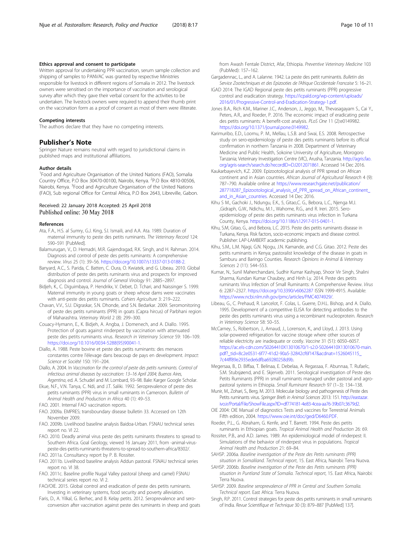# <span id="page-9-0"></span>Ethics approval and consent to participate

Written approval for undertaking PPR vaccination, serum sample collection and shipping of samples to PANVAC was granted by respective Ministries responsible for livestock in different regions of Somalia in 2012. The livestock owners were sensitised on the importance of vaccination and serological survey after which they gave their verbal consent for the activities to be undertaken. The livestock owners were required to append their thumb print on the vaccination form as a proof of consent as most of them were illiterate.

#### Competing interests

The authors declare that they have no competing interests.

# Publisher's Note

Springer Nature remains neutral with regard to jurisdictional claims in published maps and institutional affiliations.

#### Author details

<sup>1</sup> Food and Agriculture Organisation of the United Nations (FAO), Somalia Country Office, P.O Box 30470-00100, Nairobi, Kenya. <sup>2</sup>P.O Box 4810-00506, Nairobi, Kenya. <sup>3</sup>Food and Agriculture Organisation of the United Nations (FAO), Sub regional Office for Central Africa, P.O Box 2643, Libreville, Gabon.

## Received: 22 January 2018 Accepted: 25 April 2018 Published online: 30 May 2018

#### References

- Ata, F.A., H.S. al Sumry, G.J. King, S.I. Ismaili, and A.A. Ata. 1989. Duration of maternal immunity to peste des petits ruminants. The Veterinary Record 124: 590–591 [PubMed].
- Balamurugan, V., D. Hemadri, M.R. Gajendragad, R.K. Singh, and H. Rahman. 2014. Diagnosis and control of peste des petits ruminants: A comprehensive review. Virus 25 (1): 39–56. <https://doi.org/10.1007/s13337-013-0188-2>.
- Banyard, A.C., S. Parida, C. Batten, C. Oura, O. Kwiatek, and G. Libeau. 2010. Global distribution of peste des petits ruminants virus and prospects for improved diagnosis and control. Journal of General Virology 91: 2885–2897.
- Bidjeh, K., C. Diguimbaya, P. Hendrikx, V. Debet, D. Tchari, and Naissinger S. 1999. Maternal immunity in young goats or sheep whose dams were vaccinates with anti-peste des petits ruminants. Cahiers Agriculture 3: 219–222.
- Chavan, V.V., S.U. Digraskar, S.N. Dhonde, and S.N. Bedarkar. 2009. Seromonitoring of peste des petits ruminants (PPR) in goats (Capra hircus) of Parbhani region of Maharashtra. Veterinary World 2 (8): 299–300.
- Couacy-Hymann, E., K. Bidjeh, A. Angba, J. Domenech, and A. Diallo. 1995. Protection of goats against rinderpest by vaccination with attenuated peste des petits ruminants virus. Research in Veterinary Science 59: 106–109. [https://doi.org/10.1016/0034-5288\(95\)90041-1](https://doi.org/10.1016/0034-5288(95)90041-1).
- Diallo, A. 1988. Peste bovine et peste des petits ruminants: des menaces constantes contre l'élevage dans beacoup de pays en development. Impact: Science et Société 150: 191–204.
- Diallo, A. 2004. In Vaccination for the control of peste des petits ruminants. Control of infectious animal diseases by vaccination: 13–16 April 2004; Buenos Aires, Argentina, ed. A. Schudel and M. Lombard, 93–98. Bale: Karger Google Scholar.
- Ekue, N.F., V.N. Tanya, C. Ndi, and J.T. Saliki. 1992. Seroprevalence of peste des petits ruminants (PPR) virus in small ruminants in Cameroon. Bulletin of
- Animal Health and Production in Africa 40 (1): 49–53.
- FAO. 2001. Internal FAO vaccination reports.
- FAO. 2009a. EMPRES; transboundary disease bulletin 33. Accessed on 12th November 2009.
- FAO. 2009b. Livelihood baseline analysis Baidoa-Urban. FSNAU technical series report no. VI 22.
- FAO. 2010. Deadly animal virus peste des petits ruminants threatens to spread to Southern Africa. Goal Geology, viewed 16 January 2011, from -animal-viruspeste-des-petits-ruminants-threatens-to-spread-to-southern-africa/8302/.
- FAO. 2011a. Consultancy report by P. B. Rossiter.
- FAO. 2011b. Livelihood baseline analysis Addun pastoral. FSNAU technical series report no. VI 38.
- FAO. 2011c. Baseline profile Nugal Valley pastoral (sheep and camel) FSNAU technical series report no. VI 2.
- FAO/OIE. 2015. Global control and eradication of peste des petits ruminants. Investing in veterinary systems, food security and poverty alleviation.
- Faris, D., A. Yilkal, G. Berhec, and B. Kelay petits. 2012. Seroprevalence and seroconversion after vaccination against peste des ruminants in sheep and goats

from Awash Fentale District, Afar, Ethiopia. Preventive Veterinary Medicine 103 (PubMed): 157–162.

Gargadennac, L., and A. Lalanne. 1942. La peste des petit ruminantis. Bulletin des Service Zootechniques et des Epizooties de l'Afrique Occidentale Francaise 5: 16–21.

- IGAD 2014: The IGAD Regional peste des petits ruminants (PPR) progressive control and eradication strategy. [https://icpald.org/wp-content/uploads/](https://icpald.org/wp-content/uploads/2016/01/Progressive-Control-and-Eradication-Strategy-1.pdf) [2016/01/Progressive-Control-and-Eradication-Strategy-1.pdf](https://icpald.org/wp-content/uploads/2016/01/Progressive-Control-and-Eradication-Strategy-1.pdf).
- Jones B.A., Rich K.M., Mariner J.C., Anderson, J., Jeggo, M., Thevasagayam S., Cai Y., Peters, A.R., and Roeder, P. 2016. The economic impact of eradicating peste des petits ruminants: A benefit-cost analysis. PLoS One 11 (2):e0149982. [https://doi.org/10.1371/journal.pone.0149982.](https://doi.org/10.1371/journal.pone.0149982)
- Karimuribo, E.D., Loomu, P. M., Mellau, L.S.B. and Swai, E.S. 2008. Retrospective study on sero-epidemiology of peste des petits ruminants before its official confirmation in northern Tanzania in 2008. Department of Veterinary Medicine and Public Health, Sokoine University of Agriculture, Morogoro Tanzania; Veterinary Investigation Centre (VIC), Arusha, Tanzania. [http://agris.fao.](http://agris.fao.org/agris-search/search.do?recordID=DJ2012071861) [org/agris-search/search.do?recordID=DJ2012071861.](http://agris.fao.org/agris-search/search.do?recordID=DJ2012071861) Accessed 14 Dec 2016.
- Kaukarbayevich, K.Z. 2009. Epizootological analysis of PPR spread on African continent and in Asian countries. African Journal of Agricultural Research 4 (9): 787–790. Available online at [https://www.researchgate.net/publication/](https://www.researchgate.net/publication/287718287_Epizootological_analysis_of_PPR_spread_on_African_continent_and_in_Asian_countries) [287718287\\_Epizootological\\_analysis\\_of\\_PPR\\_spread\\_on\\_African\\_continent\\_](https://www.researchgate.net/publication/287718287_Epizootological_analysis_of_PPR_spread_on_African_continent_and_in_Asian_countries) [and\\_in\\_Asian\\_countries.](https://www.researchgate.net/publication/287718287_Epizootological_analysis_of_PPR_spread_on_African_continent_and_in_Asian_countries) Accessed 14 Dec 2016.
- Kihu S M., Gachoki J., Ndungu, E.K., 5, Gitao,C. G., Bebora, L.C., Njenga M.J. ,Gidraph, G.W., Ndichu, M.1., Wahome, R.G., and R. Ireri. 2015. Seroepidemiology of peste des petits ruminants virus infection in Turkana County, Kenya. <https://doi.org/10.1186/s12917-015-0401-1>.
- Kihu, S.M, Gitao, G., and Bebora, L.C. 2015. Peste des petits ruminants disease in Turkana, Kenya. Risk factors, socio-economic impacts and disease control. Publisher: LAP-LAMBERT academic publishing.
- Kihu, S.M., L.M. Njagi, G.N. Njogu, J.N. Kamande, and C.G. Gitao. 2012. Peste des petits ruminants in Kenya; pastoralist knowledge of the disease in goats in Samburu and Baringo Counties. Research Opinions in Animal & Veterinary Sciences 2 (11): 544–553.
- Kumar, N., Sunil Maherchandani, Sudhir Kumar Kashyap, Shoor Vir Singh, Shalini Sharma, Kundan Kumar Chaubey, and Hinh Ly. 2014. Peste des petits ruminants Virus Infection of Small Ruminants: A Comprehensive Review. Virus 6: 2287–2327. <https://doi.org/10.3390/v6062287> ISSN 1999-4915. Available: [https://www.ncbi.nlm.nih.gov/pmc/articles/PMC4074929/.](https://www.ncbi.nlm.nih.gov/pmc/articles/PMC4074929/)
- Libeau, G., C. Prehaud, R. Lancelot, F. Colas, L. Guerre, D.H.L. Bishop, and A. Diallo. 1995. Development of a competitive ELISA for detecting antibodies to the peste des petits ruminants virus using a recombinant nucleoprotein. Research in Veterinary Science 58: 50–55.
- McCarney, S., Robertson, J., Arnaud, J., Lorenson, K., and Lloyd, J. 2013. Using solar-powered refrigeration for vaccine storage where other sources of reliable electricity are inadequate or costly. Vaccine 31 (51): 6050–6057. [https://ac.els-cdn.com/S0264410X13010670/1-s2.0-S0264410X13010670-main.](https://ac.els-cdn.com/S0264410X13010670/1-s2.0-S0264410X13010670-main.pdf?_tid=8c2e0531-6f77-41d2-90a5-32842cf6f147&acdnat=1526045115_7c44ff89e2935ede6dfba69280258d9b) [pdf?\\_tid=8c2e0531-6f77-41d2-90a5-32842cf6f147&acdnat=1526045115\\_](https://ac.els-cdn.com/S0264410X13010670/1-s2.0-S0264410X13010670-main.pdf?_tid=8c2e0531-6f77-41d2-90a5-32842cf6f147&acdnat=1526045115_7c44ff89e2935ede6dfba69280258d9b) [7c44ff89e2935ede6dfba69280258d9b.](https://ac.els-cdn.com/S0264410X13010670/1-s2.0-S0264410X13010670-main.pdf?_tid=8c2e0531-6f77-41d2-90a5-32842cf6f147&acdnat=1526045115_7c44ff89e2935ede6dfba69280258d9b)
- Megersaa, B., D. Biffaa, T. Belinaa, E. Debelaa, A. Regassaa, F. Abunnaa, T. Rufaelc, S.M. Stubsjøend, and E. Skjerveb. 2011. Serological investigation of Peste des Petits Ruminants (PPR) in small ruminants managed under pastoral and agropastoral systems in Ethiopia. Small Ruminant Research 97 (1–3): 134–138.
- Munir, M., Zohari, S., Berg, M. 2013. Molecular biology and pathogenesis of Peste des Petits ruminants virus. Springer Briefs in Animal Sciences 2013: 151. [http://eastazar.](http://eastazar.ivo.ir/Portal/File/ShowFile.aspx?ID=df774181-4e83-4cea-aa76-39b07c3679d2) [ivo.ir/Portal/File/ShowFile.aspx?ID=df774181-4e83-4cea-aa76-39b07c3679d2.](http://eastazar.ivo.ir/Portal/File/ShowFile.aspx?ID=df774181-4e83-4cea-aa76-39b07c3679d2)
- OIE 2004: OIE Manual of diagnostics Tests and vaccines for Terrestrial Animals Fifth edition, 2004. <https://www.oie.int/doc/ged/D6460.PDF>.
- Roeder, P.L., G. Abraham, G. Kenfe, and T. Barrett. 1994. Peste des petits ruminants in Ethiopian goats. Tropical Animal Health and Production 26: 69.
- Rossiter, P.B., and A.D. James. 1989. An epidemiological model of rinderpest: II. Simulations of the behavior of rinderpest virus in populations. Tropical Animal Health and Production 21: 69–84.
- SAHSP. 2006a. Baseline investigation of the Peste des Petits ruminants (PPR) situation in Somaliland. Technical report, 15. East Africa, Nairobi: Terra Nuova.
- SAHSP. 2006b. Baseline investigation of the Peste des Petits ruminants (PPR) situation in Puntland State of Somalia. Technical report, 15. East Africa, Nairobi: Terra Nuova.
- SAHSP. 2009. Baseline seroprevalence of PPR in Central and Southern Somalia. Technical report. East Africa: Terra Nuova.
- Singh, R.P. 2011. Control strategies for peste des petits ruminants in small ruminants of India. Revue Scientifique et Technique 30 (3): 879–887 [PubMed] 137].